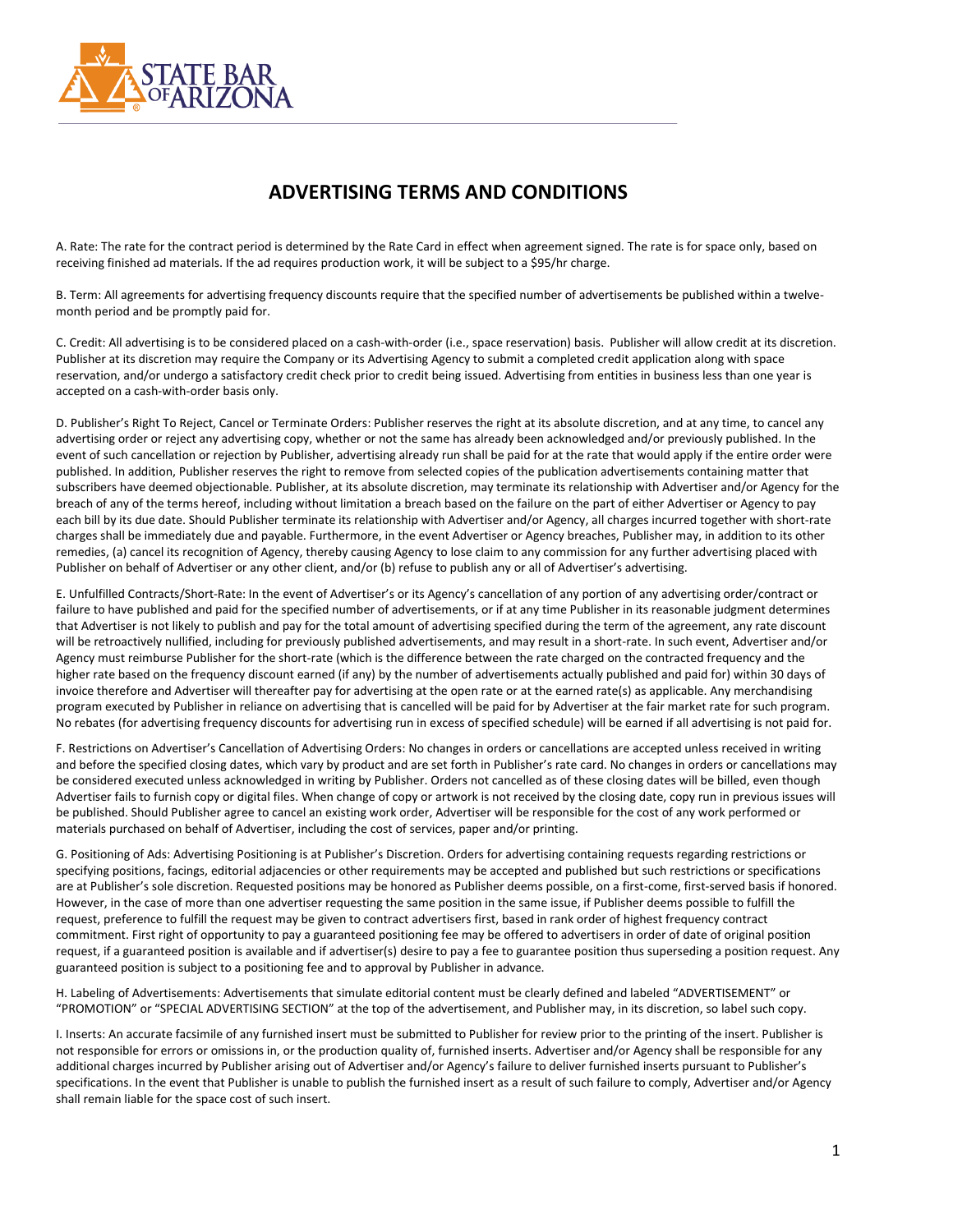

## **ADVERTISING TERMS AND CONDITIONS**

A. Rate: The rate for the contract period is determined by the Rate Card in effect when agreement signed. The rate is for space only, based on receiving finished ad materials. If the ad requires production work, it will be subject to a \$95/hr charge.

B. Term: All agreements for advertising frequency discounts require that the specified number of advertisements be published within a twelvemonth period and be promptly paid for.

C. Credit: All advertising is to be considered placed on a cash-with-order (i.e., space reservation) basis. Publisher will allow credit at its discretion. Publisher at its discretion may require the Company or its Advertising Agency to submit a completed credit application along with space reservation, and/or undergo a satisfactory credit check prior to credit being issued. Advertising from entities in business less than one year is accepted on a cash-with-order basis only.

D. Publisher's Right To Reject, Cancel or Terminate Orders: Publisher reserves the right at its absolute discretion, and at any time, to cancel any advertising order or reject any advertising copy, whether or not the same has already been acknowledged and/or previously published. In the event of such cancellation or rejection by Publisher, advertising already run shall be paid for at the rate that would apply if the entire order were published. In addition, Publisher reserves the right to remove from selected copies of the publication advertisements containing matter that subscribers have deemed objectionable. Publisher, at its absolute discretion, may terminate its relationship with Advertiser and/or Agency for the breach of any of the terms hereof, including without limitation a breach based on the failure on the part of either Advertiser or Agency to pay each bill by its due date. Should Publisher terminate its relationship with Advertiser and/or Agency, all charges incurred together with short-rate charges shall be immediately due and payable. Furthermore, in the event Advertiser or Agency breaches, Publisher may, in addition to its other remedies, (a) cancel its recognition of Agency, thereby causing Agency to lose claim to any commission for any further advertising placed with Publisher on behalf of Advertiser or any other client, and/or (b) refuse to publish any or all of Advertiser's advertising.

E. Unfulfilled Contracts/Short-Rate: In the event of Advertiser's or its Agency's cancellation of any portion of any advertising order/contract or failure to have published and paid for the specified number of advertisements, or if at any time Publisher in its reasonable judgment determines that Advertiser is not likely to publish and pay for the total amount of advertising specified during the term of the agreement, any rate discount will be retroactively nullified, including for previously published advertisements, and may result in a short-rate. In such event, Advertiser and/or Agency must reimburse Publisher for the short-rate (which is the difference between the rate charged on the contracted frequency and the higher rate based on the frequency discount earned (if any) by the number of advertisements actually published and paid for) within 30 days of invoice therefore and Advertiser will thereafter pay for advertising at the open rate or at the earned rate(s) as applicable. Any merchandising program executed by Publisher in reliance on advertising that is cancelled will be paid for by Advertiser at the fair market rate for such program. No rebates (for advertising frequency discounts for advertising run in excess of specified schedule) will be earned if all advertising is not paid for.

F. Restrictions on Advertiser's Cancellation of Advertising Orders: No changes in orders or cancellations are accepted unless received in writing and before the specified closing dates, which vary by product and are set forth in Publisher's rate card. No changes in orders or cancellations may be considered executed unless acknowledged in writing by Publisher. Orders not cancelled as of these closing dates will be billed, even though Advertiser fails to furnish copy or digital files. When change of copy or artwork is not received by the closing date, copy run in previous issues will be published. Should Publisher agree to cancel an existing work order, Advertiser will be responsible for the cost of any work performed or materials purchased on behalf of Advertiser, including the cost of services, paper and/or printing.

G. Positioning of Ads: Advertising Positioning is at Publisher's Discretion. Orders for advertising containing requests regarding restrictions or specifying positions, facings, editorial adjacencies or other requirements may be accepted and published but such restrictions or specifications are at Publisher's sole discretion. Requested positions may be honored as Publisher deems possible, on a first-come, first-served basis if honored. However, in the case of more than one advertiser requesting the same position in the same issue, if Publisher deems possible to fulfill the request, preference to fulfill the request may be given to contract advertisers first, based in rank order of highest frequency contract commitment. First right of opportunity to pay a guaranteed positioning fee may be offered to advertisers in order of date of original position request, if a guaranteed position is available and if advertiser(s) desire to pay a fee to guarantee position thus superseding a position request. Any guaranteed position is subject to a positioning fee and to approval by Publisher in advance.

H. Labeling of Advertisements: Advertisements that simulate editorial content must be clearly defined and labeled "ADVERTISEMENT" or "PROMOTION" or "SPECIAL ADVERTISING SECTION" at the top of the advertisement, and Publisher may, in its discretion, so label such copy.

I. Inserts: An accurate facsimile of any furnished insert must be submitted to Publisher for review prior to the printing of the insert. Publisher is not responsible for errors or omissions in, or the production quality of, furnished inserts. Advertiser and/or Agency shall be responsible for any additional charges incurred by Publisher arising out of Advertiser and/or Agency's failure to deliver furnished inserts pursuant to Publisher's specifications. In the event that Publisher is unable to publish the furnished insert as a result of such failure to comply, Advertiser and/or Agency shall remain liable for the space cost of such insert.